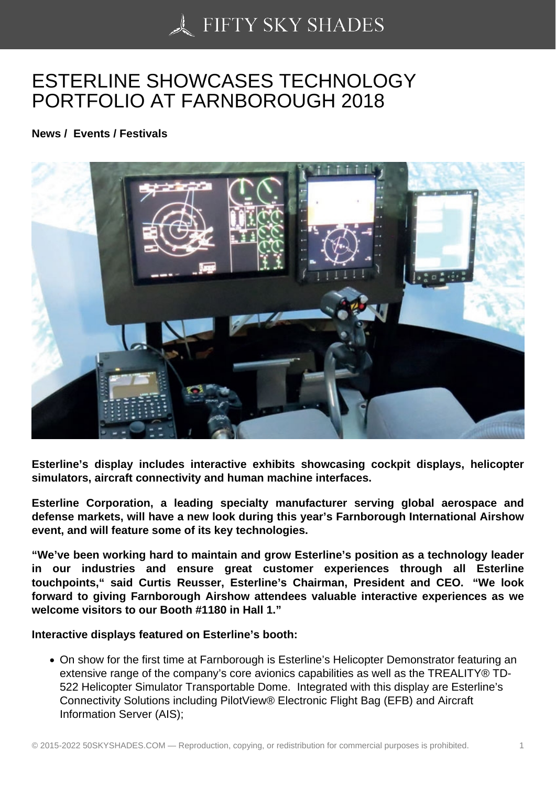## [ESTERLINE SHOWCA](https://50skyshades.com)SES TECHNOLOGY PORTFOLIO AT FARNBOROUGH 2018

News / Events / Festivals

Esterline's display includes interactive exhibits showcasing cockpit displays, helicopter simulators, aircraft connectivity and human machine interfaces.

Esterline Corporation, a leading specialty manufacturer serving global aerospace and defense markets, will have a new look during this year's Farnborough International Airshow event, and will feature some of its key technologies.

"We've been working hard to maintain and grow Esterline's position as a technology leader in our industries and ensure great customer experiences through all Esterline touchpoints," said Curtis Reusser, Esterline's Chairman, President and CEO. "We look forward to giving Farnborough Airshow attendees valuable interactive experiences as we welcome visitors to our Booth #1180 in Hall 1."

Interactive displays featured on Esterline's booth:

On show for the first time at Farnborough is Esterline's Helicopter Demonstrator featuring an extensive range of the company's core avionics capabilities as well as the TREALITY® TD-522 Helicopter Simulator Transportable Dome. Integrated with this display are Esterline's Connectivity Solutions including PilotView® Electronic Flight Bag (EFB) and Aircraft Information Server (AIS);